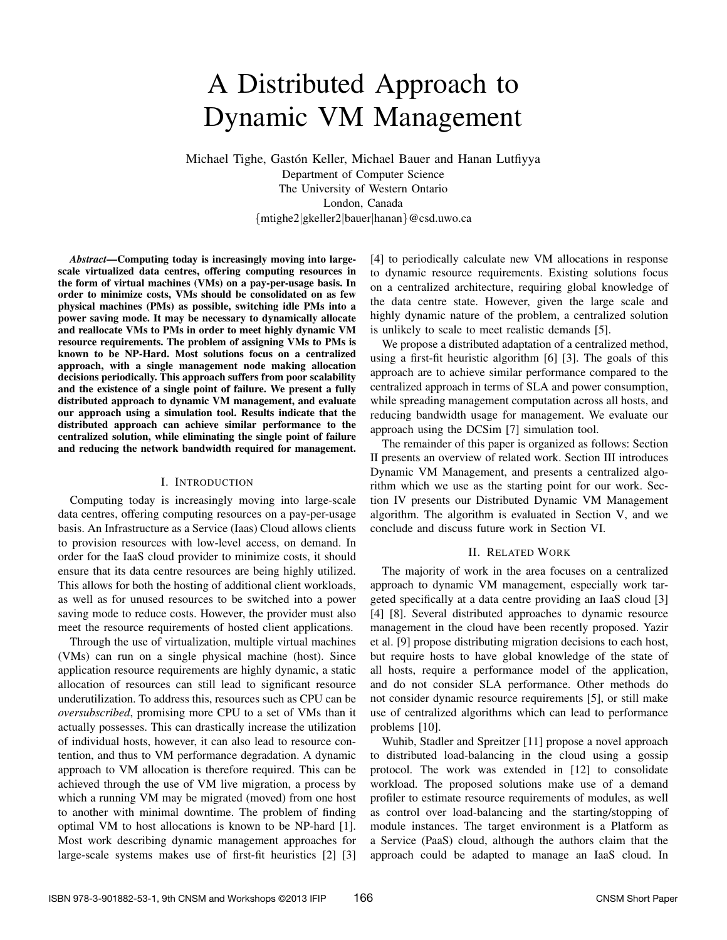# A Distributed Approach to Dynamic VM Management

Michael Tighe, Gastón Keller, Michael Bauer and Hanan Lutfiyya Department of Computer Science The University of Western Ontario London, Canada {mtighe2|gkeller2|bauer|hanan}@csd.uwo.ca

*Abstract*—Computing today is increasingly moving into largescale virtualized data centres, offering computing resources in the form of virtual machines (VMs) on a pay-per-usage basis. In order to minimize costs, VMs should be consolidated on as few physical machines (PMs) as possible, switching idle PMs into a power saving mode. It may be necessary to dynamically allocate and reallocate VMs to PMs in order to meet highly dynamic VM resource requirements. The problem of assigning VMs to PMs is known to be NP-Hard. Most solutions focus on a centralized approach, with a single management node making allocation decisions periodically. This approach suffers from poor scalability and the existence of a single point of failure. We present a fully distributed approach to dynamic VM management, and evaluate our approach using a simulation tool. Results indicate that the distributed approach can achieve similar performance to the centralized solution, while eliminating the single point of failure and reducing the network bandwidth required for management.

## I. INTRODUCTION

Computing today is increasingly moving into large-scale data centres, offering computing resources on a pay-per-usage basis. An Infrastructure as a Service (Iaas) Cloud allows clients to provision resources with low-level access, on demand. In order for the IaaS cloud provider to minimize costs, it should ensure that its data centre resources are being highly utilized. This allows for both the hosting of additional client workloads, as well as for unused resources to be switched into a power saving mode to reduce costs. However, the provider must also meet the resource requirements of hosted client applications.

Through the use of virtualization, multiple virtual machines (VMs) can run on a single physical machine (host). Since application resource requirements are highly dynamic, a static allocation of resources can still lead to significant resource underutilization. To address this, resources such as CPU can be *oversubscribed*, promising more CPU to a set of VMs than it actually possesses. This can drastically increase the utilization of individual hosts, however, it can also lead to resource contention, and thus to VM performance degradation. A dynamic approach to VM allocation is therefore required. This can be achieved through the use of VM live migration, a process by which a running VM may be migrated (moved) from one host to another with minimal downtime. The problem of finding optimal VM to host allocations is known to be NP-hard [1]. Most work describing dynamic management approaches for large-scale systems makes use of first-fit heuristics [2] [3]

[4] to periodically calculate new VM allocations in response to dynamic resource requirements. Existing solutions focus on a centralized architecture, requiring global knowledge of the data centre state. However, given the large scale and highly dynamic nature of the problem, a centralized solution is unlikely to scale to meet realistic demands [5].

We propose a distributed adaptation of a centralized method, using a first-fit heuristic algorithm [6] [3]. The goals of this approach are to achieve similar performance compared to the centralized approach in terms of SLA and power consumption, while spreading management computation across all hosts, and reducing bandwidth usage for management. We evaluate our approach using the DCSim [7] simulation tool.

The remainder of this paper is organized as follows: Section II presents an overview of related work. Section III introduces Dynamic VM Management, and presents a centralized algorithm which we use as the starting point for our work. Section IV presents our Distributed Dynamic VM Management algorithm. The algorithm is evaluated in Section V, and we conclude and discuss future work in Section VI.

## II. RELATED WORK

The majority of work in the area focuses on a centralized approach to dynamic VM management, especially work targeted specifically at a data centre providing an IaaS cloud [3] [4] [8]. Several distributed approaches to dynamic resource management in the cloud have been recently proposed. Yazir et al. [9] propose distributing migration decisions to each host, but require hosts to have global knowledge of the state of all hosts, require a performance model of the application, and do not consider SLA performance. Other methods do not consider dynamic resource requirements [5], or still make use of centralized algorithms which can lead to performance problems [10].

Wuhib, Stadler and Spreitzer [11] propose a novel approach to distributed load-balancing in the cloud using a gossip protocol. The work was extended in [12] to consolidate workload. The proposed solutions make use of a demand profiler to estimate resource requirements of modules, as well as control over load-balancing and the starting/stopping of module instances. The target environment is a Platform as a Service (PaaS) cloud, although the authors claim that the approach could be adapted to manage an IaaS cloud. In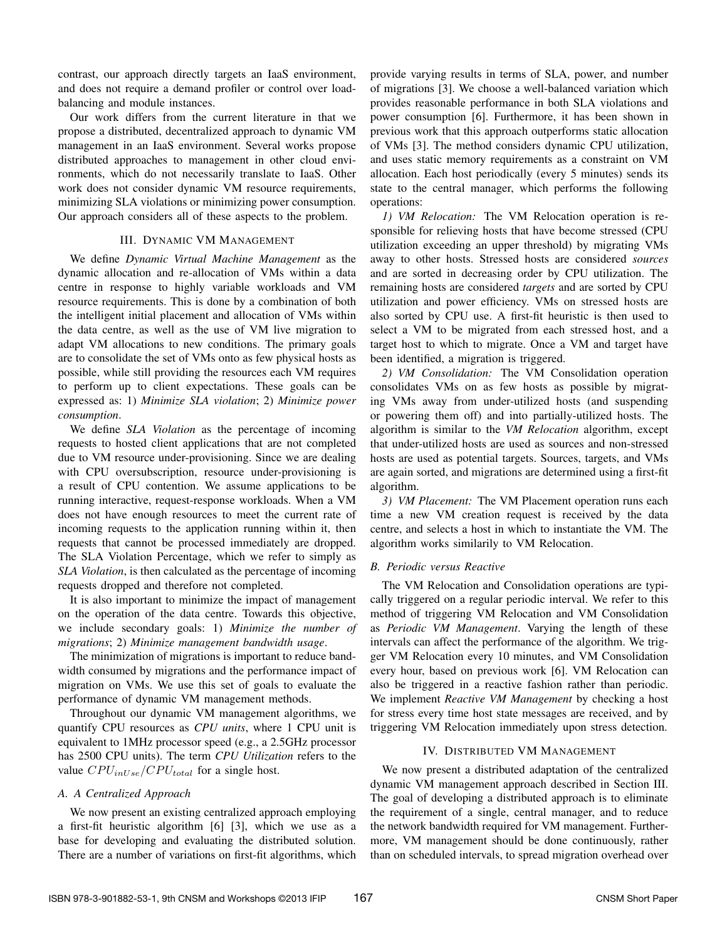contrast, our approach directly targets an IaaS environment, and does not require a demand profiler or control over loadbalancing and module instances.

Our work differs from the current literature in that we propose a distributed, decentralized approach to dynamic VM management in an IaaS environment. Several works propose distributed approaches to management in other cloud environments, which do not necessarily translate to IaaS. Other work does not consider dynamic VM resource requirements, minimizing SLA violations or minimizing power consumption. Our approach considers all of these aspects to the problem.

## III. DYNAMIC VM MANAGEMENT

We define *Dynamic Virtual Machine Management* as the dynamic allocation and re-allocation of VMs within a data centre in response to highly variable workloads and VM resource requirements. This is done by a combination of both the intelligent initial placement and allocation of VMs within the data centre, as well as the use of VM live migration to adapt VM allocations to new conditions. The primary goals are to consolidate the set of VMs onto as few physical hosts as possible, while still providing the resources each VM requires to perform up to client expectations. These goals can be expressed as: 1) *Minimize SLA violation*; 2) *Minimize power consumption*.

We define *SLA Violation* as the percentage of incoming requests to hosted client applications that are not completed due to VM resource under-provisioning. Since we are dealing with CPU oversubscription, resource under-provisioning is a result of CPU contention. We assume applications to be running interactive, request-response workloads. When a VM does not have enough resources to meet the current rate of incoming requests to the application running within it, then requests that cannot be processed immediately are dropped. The SLA Violation Percentage, which we refer to simply as *SLA Violation*, is then calculated as the percentage of incoming requests dropped and therefore not completed.

It is also important to minimize the impact of management on the operation of the data centre. Towards this objective, we include secondary goals: 1) *Minimize the number of migrations*; 2) *Minimize management bandwidth usage*.

The minimization of migrations is important to reduce bandwidth consumed by migrations and the performance impact of migration on VMs. We use this set of goals to evaluate the performance of dynamic VM management methods.

Throughout our dynamic VM management algorithms, we quantify CPU resources as *CPU units*, where 1 CPU unit is equivalent to 1MHz processor speed (e.g., a 2.5GHz processor has 2500 CPU units). The term *CPU Utilization* refers to the value  $CPU_{inUse}/CPU_{total}$  for a single host.

## *A. A Centralized Approach*

We now present an existing centralized approach employing a first-fit heuristic algorithm [6] [3], which we use as a base for developing and evaluating the distributed solution. There are a number of variations on first-fit algorithms, which provide varying results in terms of SLA, power, and number of migrations [3]. We choose a well-balanced variation which provides reasonable performance in both SLA violations and power consumption [6]. Furthermore, it has been shown in previous work that this approach outperforms static allocation of VMs [3]. The method considers dynamic CPU utilization, and uses static memory requirements as a constraint on VM allocation. Each host periodically (every 5 minutes) sends its state to the central manager, which performs the following operations:

*1) VM Relocation:* The VM Relocation operation is responsible for relieving hosts that have become stressed (CPU utilization exceeding an upper threshold) by migrating VMs away to other hosts. Stressed hosts are considered *sources* and are sorted in decreasing order by CPU utilization. The remaining hosts are considered *targets* and are sorted by CPU utilization and power efficiency. VMs on stressed hosts are also sorted by CPU use. A first-fit heuristic is then used to select a VM to be migrated from each stressed host, and a target host to which to migrate. Once a VM and target have been identified, a migration is triggered.

*2) VM Consolidation:* The VM Consolidation operation consolidates VMs on as few hosts as possible by migrating VMs away from under-utilized hosts (and suspending or powering them off) and into partially-utilized hosts. The algorithm is similar to the *VM Relocation* algorithm, except that under-utilized hosts are used as sources and non-stressed hosts are used as potential targets. Sources, targets, and VMs are again sorted, and migrations are determined using a first-fit algorithm.

*3) VM Placement:* The VM Placement operation runs each time a new VM creation request is received by the data centre, and selects a host in which to instantiate the VM. The algorithm works similarily to VM Relocation.

## *B. Periodic versus Reactive*

The VM Relocation and Consolidation operations are typically triggered on a regular periodic interval. We refer to this method of triggering VM Relocation and VM Consolidation as *Periodic VM Management*. Varying the length of these intervals can affect the performance of the algorithm. We trigger VM Relocation every 10 minutes, and VM Consolidation every hour, based on previous work [6]. VM Relocation can also be triggered in a reactive fashion rather than periodic. We implement *Reactive VM Management* by checking a host for stress every time host state messages are received, and by triggering VM Relocation immediately upon stress detection.

#### IV. DISTRIBUTED VM MANAGEMENT

We now present a distributed adaptation of the centralized dynamic VM management approach described in Section III. The goal of developing a distributed approach is to eliminate the requirement of a single, central manager, and to reduce the network bandwidth required for VM management. Furthermore, VM management should be done continuously, rather than on scheduled intervals, to spread migration overhead over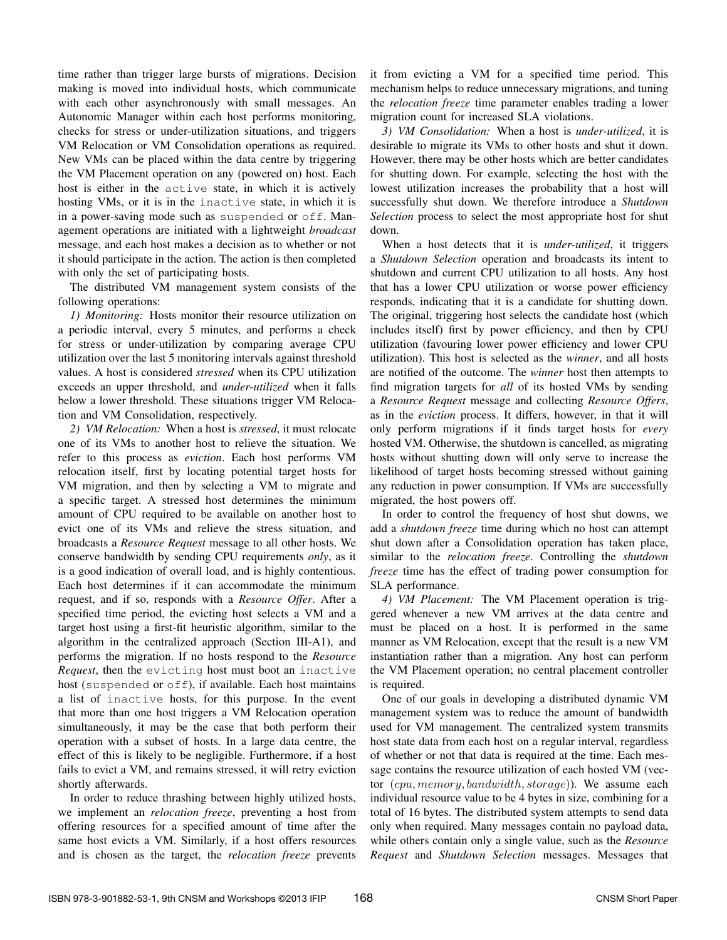time rather than trigger large bursts of migrations. Decision making is moved into individual hosts, which communicate with each other asynchronously with small messages. An Autonomic Manager within each host performs monitoring, checks for stress or under-utilization situations, and triggers VM Relocation or VM Consolidation operations as required. New VMs can be placed within the data centre by triggering the VM Placement operation on any (powered on) host. Each host is either in the active state, in which it is actively hosting VMs, or it is in the inactive state, in which it is in a power-saving mode such as suspended or off. Management operations are initiated with a lightweight *broadcast* message, and each host makes a decision as to whether or not it should participate in the action. The action is then completed with only the set of participating hosts.

The distributed VM management system consists of the following operations:

*1) Monitoring:* Hosts monitor their resource utilization on a periodic interval, every 5 minutes, and performs a check for stress or under-utilization by comparing average CPU utilization over the last 5 monitoring intervals against threshold values. A host is considered *stressed* when its CPU utilization exceeds an upper threshold, and *under-utilized* when it falls below a lower threshold. These situations trigger VM Relocation and VM Consolidation, respectively.

*2) VM Relocation:* When a host is *stressed*, it must relocate one of its VMs to another host to relieve the situation. We refer to this process as *eviction*. Each host performs VM relocation itself, first by locating potential target hosts for VM migration, and then by selecting a VM to migrate and a specific target. A stressed host determines the minimum amount of CPU required to be available on another host to evict one of its VMs and relieve the stress situation, and broadcasts a *Resource Request* message to all other hosts. We conserve bandwidth by sending CPU requirements *only*, as it is a good indication of overall load, and is highly contentious. Each host determines if it can accommodate the minimum request, and if so, responds with a *Resource Offer*. After a specified time period, the evicting host selects a VM and a target host using a first-fit heuristic algorithm, similar to the algorithm in the centralized approach (Section III-A1), and performs the migration. If no hosts respond to the *Resource Request*, then the evicting host must boot an inactive host (suspended or off), if available. Each host maintains a list of inactive hosts, for this purpose. In the event that more than one host triggers a VM Relocation operation simultaneously, it may be the case that both perform their operation with a subset of hosts. In a large data centre, the effect of this is likely to be negligible. Furthermore, if a host fails to evict a VM, and remains stressed, it will retry eviction shortly afterwards.

In order to reduce thrashing between highly utilized hosts, we implement an *relocation freeze*, preventing a host from offering resources for a specified amount of time after the same host evicts a VM. Similarly, if a host offers resources and is chosen as the target, the *relocation freeze* prevents it from evicting a VM for a specified time period. This mechanism helps to reduce unnecessary migrations, and tuning the *relocation freeze* time parameter enables trading a lower migration count for increased SLA violations.

*3) VM Consolidation:* When a host is *under-utilized*, it is desirable to migrate its VMs to other hosts and shut it down. However, there may be other hosts which are better candidates for shutting down. For example, selecting the host with the lowest utilization increases the probability that a host will successfully shut down. We therefore introduce a *Shutdown Selection* process to select the most appropriate host for shut down.

When a host detects that it is *under-utilized*, it triggers a *Shutdown Selection* operation and broadcasts its intent to shutdown and current CPU utilization to all hosts. Any host that has a lower CPU utilization or worse power efficiency responds, indicating that it is a candidate for shutting down. The original, triggering host selects the candidate host (which includes itself) first by power efficiency, and then by CPU utilization (favouring lower power efficiency and lower CPU utilization). This host is selected as the *winner*, and all hosts are notified of the outcome. The *winner* host then attempts to find migration targets for *all* of its hosted VMs by sending a *Resource Request* message and collecting *Resource Offers*, as in the *eviction* process. It differs, however, in that it will only perform migrations if it finds target hosts for *every* hosted VM. Otherwise, the shutdown is cancelled, as migrating hosts without shutting down will only serve to increase the likelihood of target hosts becoming stressed without gaining any reduction in power consumption. If VMs are successfully migrated, the host powers off.

In order to control the frequency of host shut downs, we add a *shutdown freeze* time during which no host can attempt shut down after a Consolidation operation has taken place, similar to the *relocation freeze*. Controlling the *shutdown freeze* time has the effect of trading power consumption for SLA performance.

*4) VM Placement:* The VM Placement operation is triggered whenever a new VM arrives at the data centre and must be placed on a host. It is performed in the same manner as VM Relocation, except that the result is a new VM instantiation rather than a migration. Any host can perform the VM Placement operation; no central placement controller is required.

One of our goals in developing a distributed dynamic VM management system was to reduce the amount of bandwidth used for VM management. The centralized system transmits host state data from each host on a regular interval, regardless of whether or not that data is required at the time. Each message contains the resource utilization of each hosted VM (vector (cpu, memory, bandwidth, storage)). We assume each individual resource value to be 4 bytes in size, combining for a total of 16 bytes. The distributed system attempts to send data only when required. Many messages contain no payload data, while others contain only a single value, such as the *Resource Request* and *Shutdown Selection* messages. Messages that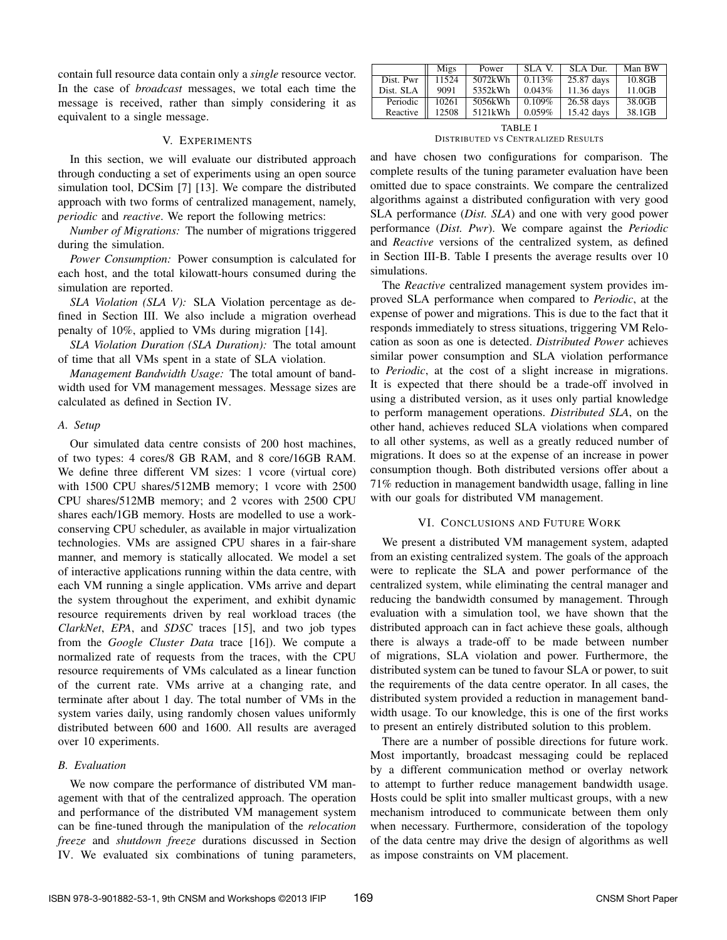contain full resource data contain only a *single* resource vector. In the case of *broadcast* messages, we total each time the message is received, rather than simply considering it as equivalent to a single message.

## V. EXPERIMENTS

In this section, we will evaluate our distributed approach through conducting a set of experiments using an open source simulation tool, DCSim [7] [13]. We compare the distributed approach with two forms of centralized management, namely, *periodic* and *reactive*. We report the following metrics:

*Number of Migrations:* The number of migrations triggered during the simulation.

*Power Consumption:* Power consumption is calculated for each host, and the total kilowatt-hours consumed during the simulation are reported.

*SLA Violation (SLA V):* SLA Violation percentage as defined in Section III. We also include a migration overhead penalty of 10%, applied to VMs during migration [14].

*SLA Violation Duration (SLA Duration):* The total amount of time that all VMs spent in a state of SLA violation.

*Management Bandwidth Usage:* The total amount of bandwidth used for VM management messages. Message sizes are calculated as defined in Section IV.

### *A. Setup*

Our simulated data centre consists of 200 host machines, of two types: 4 cores/8 GB RAM, and 8 core/16GB RAM. We define three different VM sizes: 1 vcore (virtual core) with 1500 CPU shares/512MB memory; 1 vcore with 2500 CPU shares/512MB memory; and 2 vcores with 2500 CPU shares each/1GB memory. Hosts are modelled to use a workconserving CPU scheduler, as available in major virtualization technologies. VMs are assigned CPU shares in a fair-share manner, and memory is statically allocated. We model a set of interactive applications running within the data centre, with each VM running a single application. VMs arrive and depart the system throughout the experiment, and exhibit dynamic resource requirements driven by real workload traces (the *ClarkNet*, *EPA*, and *SDSC* traces [15], and two job types from the *Google Cluster Data* trace [16]). We compute a normalized rate of requests from the traces, with the CPU resource requirements of VMs calculated as a linear function of the current rate. VMs arrive at a changing rate, and terminate after about 1 day. The total number of VMs in the system varies daily, using randomly chosen values uniformly distributed between 600 and 1600. All results are averaged over 10 experiments.

## *B. Evaluation*

We now compare the performance of distributed VM management with that of the centralized approach. The operation and performance of the distributed VM management system can be fine-tuned through the manipulation of the *relocation freeze* and *shutdown freeze* durations discussed in Section IV. We evaluated six combinations of tuning parameters,

|                | Migs  | Power   | SLA V. | SLA Dur.   | Man BW |
|----------------|-------|---------|--------|------------|--------|
| Dist. Pwr      | 11524 | 5072kWh | 0.113% | 25.87 days | 10.8GB |
| Dist. SLA      | 9091  | 5352kWh | 0.043% | 11.36 days | 11.0GB |
| Periodic       | 10261 | 5056kWh | 0.109% | 26.58 days | 38.0GB |
| Reactive       | 12508 | 5121kWh | 0.059% | 15.42 days | 38.1GB |
| <b>TABLE I</b> |       |         |        |            |        |

DISTRIBUTED VS CENTRALIZED RESULTS

and have chosen two configurations for comparison. The complete results of the tuning parameter evaluation have been omitted due to space constraints. We compare the centralized algorithms against a distributed configuration with very good SLA performance (*Dist. SLA*) and one with very good power performance (*Dist. Pwr*). We compare against the *Periodic* and *Reactive* versions of the centralized system, as defined in Section III-B. Table I presents the average results over 10 simulations.

The *Reactive* centralized management system provides improved SLA performance when compared to *Periodic*, at the expense of power and migrations. This is due to the fact that it responds immediately to stress situations, triggering VM Relocation as soon as one is detected. *Distributed Power* achieves similar power consumption and SLA violation performance to *Periodic*, at the cost of a slight increase in migrations. It is expected that there should be a trade-off involved in using a distributed version, as it uses only partial knowledge to perform management operations. *Distributed SLA*, on the other hand, achieves reduced SLA violations when compared to all other systems, as well as a greatly reduced number of migrations. It does so at the expense of an increase in power consumption though. Both distributed versions offer about a 71% reduction in management bandwidth usage, falling in line with our goals for distributed VM management.

## VI. CONCLUSIONS AND FUTURE WORK

We present a distributed VM management system, adapted from an existing centralized system. The goals of the approach were to replicate the SLA and power performance of the centralized system, while eliminating the central manager and reducing the bandwidth consumed by management. Through evaluation with a simulation tool, we have shown that the distributed approach can in fact achieve these goals, although there is always a trade-off to be made between number of migrations, SLA violation and power. Furthermore, the distributed system can be tuned to favour SLA or power, to suit the requirements of the data centre operator. In all cases, the distributed system provided a reduction in management bandwidth usage. To our knowledge, this is one of the first works to present an entirely distributed solution to this problem.

There are a number of possible directions for future work. Most importantly, broadcast messaging could be replaced by a different communication method or overlay network to attempt to further reduce management bandwidth usage. Hosts could be split into smaller multicast groups, with a new mechanism introduced to communicate between them only when necessary. Furthermore, consideration of the topology of the data centre may drive the design of algorithms as well as impose constraints on VM placement.